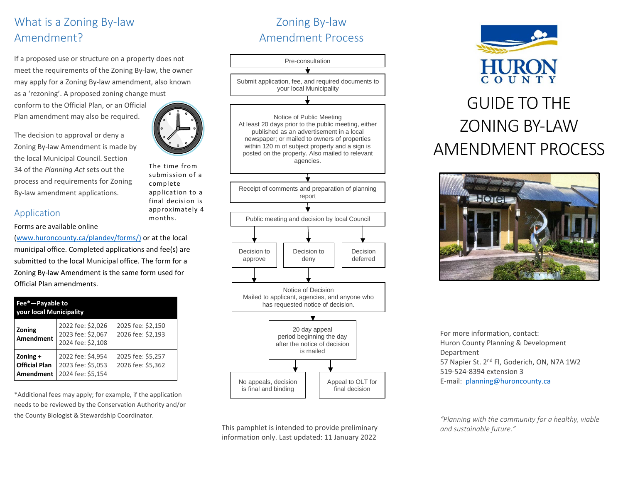## What is a Zoning By-law Amendment?

If a proposed use or structure on a property does not meet the requirements of the Zoning By-law, the owner may apply for a Zoning By-law amendment, also known as a 'rezoning'. A proposed zoning change must

conform to the Official Plan, or an Official Plan amendment may also be required.

The decision to approval or deny a Zoning By-law Amendment is made by the local Municipal Council. Section 34 of the *Planning Act* sets out the process and requirements for Zoning By-law amendment applications.

#### Application

#### Forms are available online

[\(www.huroncounty.ca/plandev/forms/\)](http://www.huroncounty.ca/plandev/forms/) or at the local municipal office. Completed applications and fee(s) are submitted to the local Municipal office. The form for a Zoning By-law Amendment is the same form used for Official Plan amendments.

| Fee*-Payable to<br><b>your local Municipality</b> |                                                             |                                        |
|---------------------------------------------------|-------------------------------------------------------------|----------------------------------------|
| Zoning<br><b>Amendment</b>                        | 2022 fee: \$2,026<br>2023 fee: \$2,067<br>2024 fee: \$2,108 | 2025 fee: \$2,150<br>2026 fee: \$2,193 |
| Zoning $+$<br><b>Official Plan</b><br>Amendment   | 2022 fee: \$4,954<br>2023 fee: \$5,053<br>2024 fee: \$5,154 | 2025 fee: \$5,257<br>2026 fee: \$5,362 |

\*Additional fees may apply; for example, if the application needs to be reviewed by the Conservation Authority and/or the County Biologist & Stewardship Coordinator.

## Zoning By-law Amendment Process

Pre-consultation Submit application, fee, and required documents to your local Municipality Notice of Public Meeting At least 20 days prior to the public meeting, either published as an advertisement in a local newspaper; or mailed to owners of properties within 120 m of subject property and a sign is posted on the property. Also mailed to relevant agencies. Receipt of comments and preparation of planning report Public meeting and decision by local Council Decision to approve Appeal to OLT for final decision Notice of Decision Mailed to applicant, agencies, and anyone who has requested notice of decision. 20 day appeal period beginning the day after the notice of decision is mailed No appeals, decision is final and binding Decision deferred Decision to deny

This pamphlet is intended to provide preliminary information only. Last updated: 11 January 2022



# ZONING BY-LAW AMENDMENT PROCESS



For more information, contact: Huron County Planning & Development Department 57 Napier St. 2<sup>nd</sup> Fl, Goderich, ON, N7A 1W2 519-524-8394 extension 3 E-mail: [planning@huroncounty.ca](mailto:planning@huroncounty.ca)

*"Planning with the community for a healthy, viable and sustainable future."*



The time from submission of a complete application to a final decision is approximately 4 months.